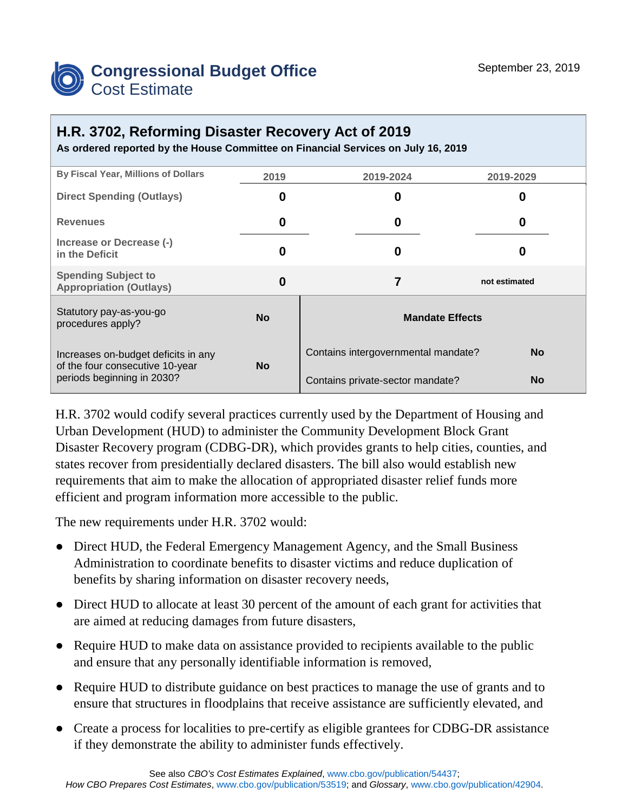

## **H.R. 3702, Reforming Disaster Recovery Act of 2019**

**As ordered reported by the House Committee on Financial Services on July 16, 2019**

| By Fiscal Year, Millions of Dollars                                                                  | 2019      | 2019-2024                                        | 2019-2029     |
|------------------------------------------------------------------------------------------------------|-----------|--------------------------------------------------|---------------|
| <b>Direct Spending (Outlays)</b>                                                                     | 0         | 0                                                | O             |
| <b>Revenues</b>                                                                                      | 0         | 0                                                | 0             |
| Increase or Decrease (-)<br>in the Deficit                                                           | 0         | 0                                                | O             |
| <b>Spending Subject to</b><br><b>Appropriation (Outlays)</b>                                         | 0         | 7                                                | not estimated |
| Statutory pay-as-you-go<br>procedures apply?                                                         | <b>No</b> | <b>Mandate Effects</b>                           |               |
| Increases on-budget deficits in any<br>of the four consecutive 10-year<br>periods beginning in 2030? | <b>No</b> | <b>No</b><br>Contains intergovernmental mandate? |               |
|                                                                                                      |           | Contains private-sector mandate?                 | <b>No</b>     |

H.R. 3702 would codify several practices currently used by the Department of Housing and Urban Development (HUD) to administer the Community Development Block Grant Disaster Recovery program (CDBG-DR), which provides grants to help cities, counties, and states recover from presidentially declared disasters. The bill also would establish new requirements that aim to make the allocation of appropriated disaster relief funds more efficient and program information more accessible to the public.

The new requirements under H.R. 3702 would:

- Direct HUD, the Federal Emergency Management Agency, and the Small Business Administration to coordinate benefits to disaster victims and reduce duplication of benefits by sharing information on disaster recovery needs,
- Direct HUD to allocate at least 30 percent of the amount of each grant for activities that are aimed at reducing damages from future disasters,
- Require HUD to make data on assistance provided to recipients available to the public and ensure that any personally identifiable information is removed,
- Require HUD to distribute guidance on best practices to manage the use of grants and to ensure that structures in floodplains that receive assistance are sufficiently elevated, and
- Create a process for localities to pre-certify as eligible grantees for CDBG-DR assistance if they demonstrate the ability to administer funds effectively.